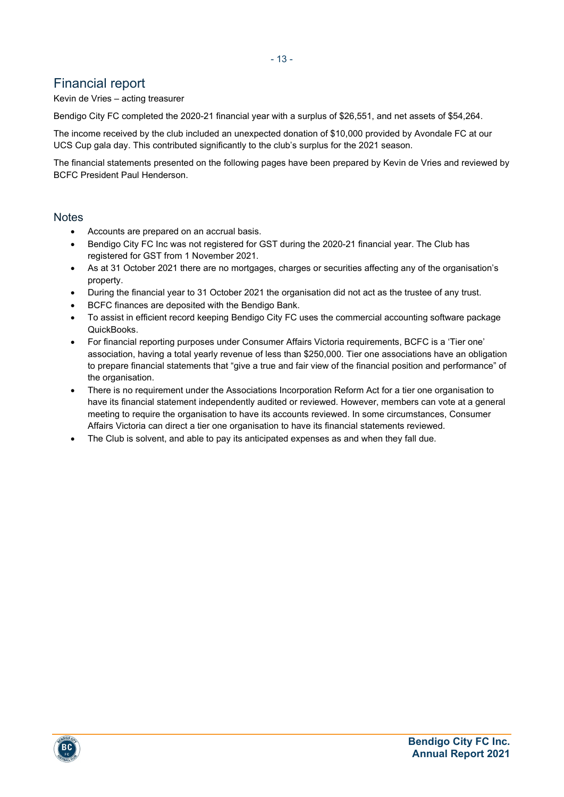## Financial report

Kevin de Vries – acting treasurer

Bendigo City FC completed the 2020-21 financial year with a surplus of \$26,551, and net assets of \$54,264.

The income received by the club included an unexpected donation of \$10,000 provided by Avondale FC at our UCS Cup gala day. This contributed significantly to the club's surplus for the 2021 season.

The financial statements presented on the following pages have been prepared by Kevin de Vries and reviewed by BCFC President Paul Henderson.

#### **Notes**

- Accounts are prepared on an accrual basis.
- Bendigo City FC Inc was not registered for GST during the 2020-21 financial year. The Club has registered for GST from 1 November 2021.
- As at 31 October 2021 there are no mortgages, charges or securities affecting any of the organisation's property.
- During the financial year to 31 October 2021 the organisation did not act as the trustee of any trust.
- BCFC finances are deposited with the Bendigo Bank.
- To assist in efficient record keeping Bendigo City FC uses the commercial accounting software package QuickBooks.
- For financial reporting purposes under Consumer Affairs Victoria requirements, BCFC is a 'Tier one' association, having a total yearly revenue of less than \$250,000. Tier one associations have an obligation to prepare financial statements that "give a true and fair view of the financial position and performance" of the organisation.
- There is no requirement under the Associations Incorporation Reform Act for a tier one organisation to have its financial statement independently audited or reviewed. However, members can vote at a general meeting to require the organisation to have its accounts reviewed. In some circumstances, Consumer Affairs Victoria can direct a tier one organisation to have its financial statements reviewed.
- The Club is solvent, and able to pay its anticipated expenses as and when they fall due.



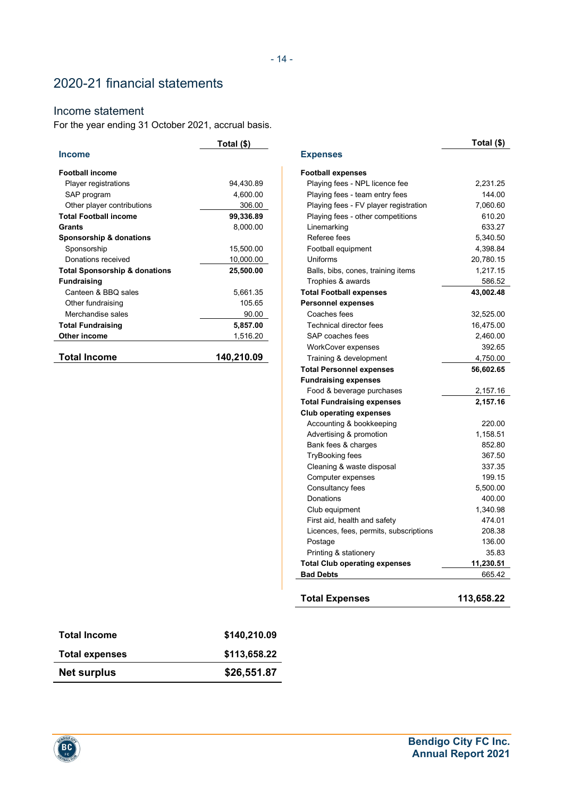# 2020-21 financial statements

### Income statement

For the year ending 31 October 2021, accrual basis.

|                                          | Total (\$) |                                        | Total (\$) |
|------------------------------------------|------------|----------------------------------------|------------|
| <b>Income</b>                            |            | <b>Expenses</b>                        |            |
| <b>Football income</b>                   |            | <b>Football expenses</b>               |            |
| Player registrations                     | 94,430.89  | Playing fees - NPL licence fee         | 2,231.25   |
| SAP program                              | 4,600.00   | Playing fees - team entry fees         | 144.00     |
| Other player contributions               | 306.00     | Playing fees - FV player registration  | 7,060.60   |
| <b>Total Football income</b>             | 99,336.89  | Playing fees - other competitions      | 610.20     |
| <b>Grants</b>                            | 8,000.00   | Linemarking                            | 633.27     |
| Sponsorship & donations                  |            | Referee fees                           | 5,340.50   |
| Sponsorship                              | 15,500.00  | Football equipment                     | 4,398.84   |
| Donations received                       | 10,000.00  | Uniforms                               | 20,780.15  |
| <b>Total Sponsorship &amp; donations</b> | 25,500.00  | Balls, bibs, cones, training items     | 1,217.15   |
| <b>Fundraising</b>                       |            | Trophies & awards                      | 586.52     |
| Canteen & BBQ sales                      | 5,661.35   | <b>Total Football expenses</b>         | 43,002.48  |
| Other fundraising                        | 105.65     | <b>Personnel expenses</b>              |            |
| Merchandise sales                        | 90.00      | Coaches fees                           | 32,525.00  |
| <b>Total Fundraising</b>                 | 5,857.00   | Technical director fees                | 16,475.00  |
| Other income                             | 1,516.20   | SAP coaches fees                       | 2,460.00   |
|                                          |            | <b>WorkCover expenses</b>              | 392.65     |
| <b>Total Income</b>                      | 140,210.09 | Training & development                 | 4,750.00   |
|                                          |            | <b>Total Personnel expenses</b>        | 56,602.65  |
|                                          |            | <b>Fundraising expenses</b>            |            |
|                                          |            | Food & beverage purchases              | 2,157.16   |
|                                          |            | <b>Total Fundraising expenses</b>      | 2,157.16   |
|                                          |            | <b>Club operating expenses</b>         |            |
|                                          |            | Accounting & bookkeeping               | 220.00     |
|                                          |            | Advertising & promotion                | 1,158.51   |
|                                          |            | Bank fees & charges                    | 852.80     |
|                                          |            | <b>TryBooking fees</b>                 | 367.50     |
|                                          |            | Cleaning & waste disposal              | 337.35     |
|                                          |            | Computer expenses                      | 199.15     |
|                                          |            | Consultancy fees                       | 5,500.00   |
|                                          |            | Donations                              | 400.00     |
|                                          |            | Club equipment                         | 1,340.98   |
|                                          |            | First aid, health and safety           | 474.01     |
|                                          |            | Licences, fees, permits, subscriptions | 208.38     |
|                                          |            | Postage                                | 136.00     |
|                                          |            | Printing & stationery                  | 35.83      |
|                                          |            | <b>Total Club operating expenses</b>   | 11,230.51  |
|                                          |            | <b>Bad Debts</b>                       | 665.42     |
|                                          |            | <b>Total Expenses</b>                  | 113,658.22 |

| \$26,551.87  |
|--------------|
| \$113,658.22 |
| \$140,210.09 |
|              |